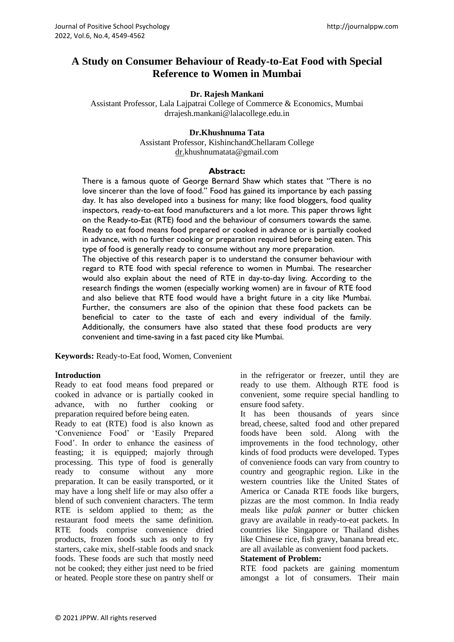# **A Study on Consumer Behaviour of Ready-to-Eat Food with Special Reference to Women in Mumbai**

#### **Dr. Rajesh Mankani**

Assistant Professor, Lala Lajpatrai College of Commerce & Economics, Mumbai drrajesh.mankani@lalacollege.edu.in

### **Dr.Khushnuma Tata**

Assistant Professor, KishinchandChellaram College dr.khushnumatata@gmail.com

#### **Abstract:**

There is a famous quote of George Bernard Shaw which states that "There is no love sincerer than the love of food." Food has gained its importance by each passing day. It has also developed into a business for many; like food bloggers, food quality inspectors, ready-to-eat food manufacturers and a lot more. This paper throws light on the Ready-to-Eat (RTE) food and the behaviour of consumers towards the same. Ready to eat food means food prepared or cooked in advance or is partially cooked in advance, with no further cooking or preparation required before being eaten. This type of food is generally ready to consume without any more preparation.

The objective of this research paper is to understand the consumer behaviour with regard to RTE food with special reference to women in Mumbai. The researcher would also explain about the need of RTE in day-to-day living. According to the research findings the women (especially working women) are in favour of RTE food and also believe that RTE food would have a bright future in a city like Mumbai. Further, the consumers are also of the opinion that these food packets can be beneficial to cater to the taste of each and every individual of the family. Additionally, the consumers have also stated that these food products are very convenient and time-saving in a fast paced city like Mumbai.

**Keywords:** Ready-to-Eat food, Women, Convenient

#### **Introduction**

Ready to eat food means food prepared or cooked in advance or is partially cooked in advance, with no further cooking or preparation required before being eaten.

Ready to eat (RTE) food is also known as 'Convenience Food' or 'Easily Prepared Food'. In order to enhance the easiness of feasting; it is equipped; majorly through processing. This type of food is generally ready to consume without any more preparation. It can be easily transported, or it may have a long shelf life or may also offer a blend of such convenient characters. The term RTE is seldom applied to them; as the restaurant food meets the same definition. RTE foods comprise convenience dried products, frozen foods such as only to fry starters, cake mix, shelf-stable foods and snack foods. These foods are such that mostly need not be cooked; they either just need to be fried or heated. People store these on pantry shelf or

in the refrigerator or freezer, until they are ready to use them. Although RTE food is convenient, some require special handling to ensure food safety.

It has been thousands of years since [bread,](https://en.wikipedia.org/wiki/Bread) [cheese,](https://en.wikipedia.org/wiki/Cheese) [salted food](https://en.wikipedia.org/wiki/Salting_(food)) and other [prepared](https://en.wikipedia.org/wiki/Food_preparation)  [foods](https://en.wikipedia.org/wiki/Food_preparation) have been sold. Along with the improvements in the food technology, other kinds of food products were developed. Types of convenience foods can vary from country to country and geographic region. Like in the western countries like the United States of America or Canada RTE foods like burgers, pizzas are the most common. In India ready meals like *palak panner* or butter chicken gravy are available in ready-to-eat packets. In countries like Singapore or Thailand dishes like Chinese rice, fish gravy, banana bread etc. are all available as convenient food packets.

#### **Statement of Problem:**

RTE food packets are gaining momentum amongst a lot of consumers. Their main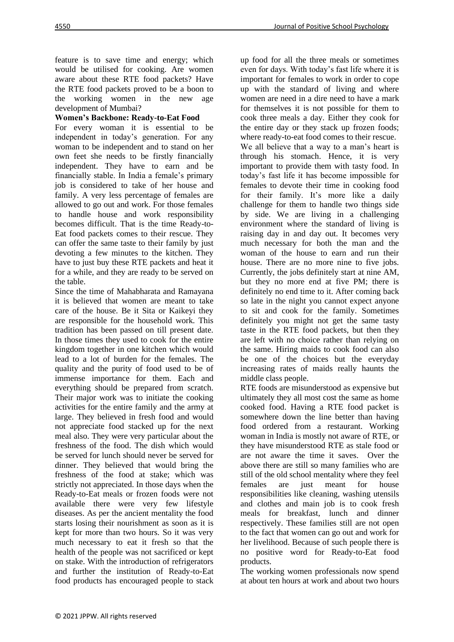feature is to save time and energy; which would be utilised for cooking. Are women aware about these RTE food packets? Have the RTE food packets proved to be a boon to the working women in the new age development of Mumbai?

## **Women's Backbone: Ready-to-Eat Food**

For every woman it is essential to be independent in today's generation. For any woman to be independent and to stand on her own feet she needs to be firstly financially independent. They have to earn and be financially stable. In India a female's primary job is considered to take of her house and family. A very less percentage of females are allowed to go out and work. For those females to handle house and work responsibility becomes difficult. That is the time Ready-to-Eat food packets comes to their rescue. They can offer the same taste to their family by just devoting a few minutes to the kitchen. They have to just buy these RTE packets and heat it for a while, and they are ready to be served on the table.

Since the time of Mahabharata and Ramayana it is believed that women are meant to take care of the house. Be it Sita or Kaikeyi they are responsible for the household work. This tradition has been passed on till present date. In those times they used to cook for the entire kingdom together in one kitchen which would lead to a lot of burden for the females. The quality and the purity of food used to be of immense importance for them. Each and everything should be prepared from scratch. Their major work was to initiate the cooking activities for the entire family and the army at large. They believed in fresh food and would not appreciate food stacked up for the next meal also. They were very particular about the freshness of the food. The dish which would be served for lunch should never be served for dinner. They believed that would bring the freshness of the food at stake; which was strictly not appreciated. In those days when the Ready-to-Eat meals or frozen foods were not available there were very few lifestyle diseases. As per the ancient mentality the food starts losing their nourishment as soon as it is kept for more than two hours. So it was very much necessary to eat it fresh so that the health of the people was not sacrificed or kept on stake. With the introduction of refrigerators and further the institution of Ready-to-Eat food products has encouraged people to stack

up food for all the three meals or sometimes even for days. With today's fast life where it is important for females to work in order to cope up with the standard of living and where women are need in a dire need to have a mark for themselves it is not possible for them to cook three meals a day. Either they cook for the entire day or they stack up frozen foods; where ready-to-eat food comes to their rescue. We all believe that a way to a man's heart is through his stomach. Hence, it is very important to provide them with tasty food. In today's fast life it has become impossible for females to devote their time in cooking food for their family. It's more like a daily challenge for them to handle two things side by side. We are living in a challenging environment where the standard of living is raising day in and day out. It becomes very much necessary for both the man and the woman of the house to earn and run their house. There are no more nine to five jobs. Currently, the jobs definitely start at nine AM, but they no more end at five PM; there is definitely no end time to it. After coming back so late in the night you cannot expect anyone to sit and cook for the family. Sometimes definitely you might not get the same tasty taste in the RTE food packets, but then they are left with no choice rather than relying on the same. Hiring maids to cook food can also be one of the choices but the everyday increasing rates of maids really haunts the middle class people.

RTE foods are misunderstood as expensive but ultimately they all most cost the same as home cooked food. Having a RTE food packet is somewhere down the line better than having food ordered from a restaurant. Working woman in India is mostly not aware of RTE, or they have misunderstood RTE as stale food or are not aware the time it saves. Over the above there are still so many families who are still of the old school mentality where they feel females are just meant for house responsibilities like cleaning, washing utensils and clothes and main job is to cook fresh meals for breakfast, lunch and dinner respectively. These families still are not open to the fact that women can go out and work for her livelihood. Because of such people there is no positive word for Ready-to-Eat food products.

The working women professionals now spend at about ten hours at work and about two hours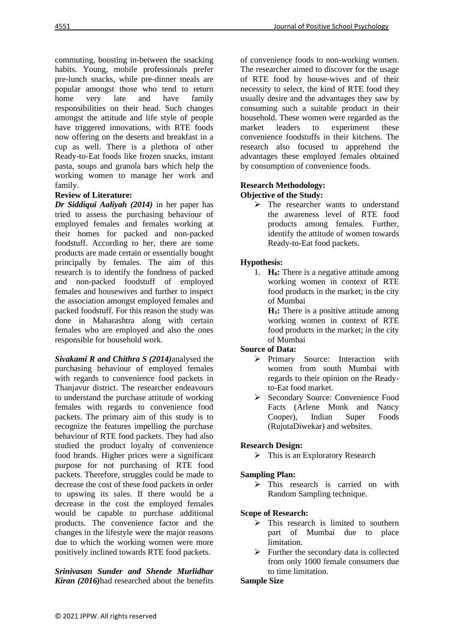commuting, boosting in-between the snacking habits. Young, mobile professionals prefer pre-lunch snacks, while pre-dinner meals are popular amongst those who tend to return home very late and have family responsibilities on their head. Such changes amongst the attitude and life style of people have triggered innovations, with RTE foods now offering on the deserts and breakfast in a cup as well. There is a plethora of other Ready-to-Eat foods like frozen snacks, instant pasta, soups and granola bars which help the working women to manage her work and family.

### **Review of Literature:**

*Dr Siddiqui Aaliyah (2014)* in her paper has tried to assess the purchasing behaviour of employed females and females working at their homes for packed and non-packed foodstuff. According to her, there are some products are made certain or essentially bought principally by females. The aim of this research is to identify the fondness of packed and non-packed foodstuff of employed females and housewives and further to inspect the association amongst employed females and packed foodstuff. For this reason the study was done in Maharashtra along with certain females who are employed and also the ones responsible for household work.

*Sivakami R and Chithra S (2014)*analysed the purchasing behaviour of employed females with regards to convenience food packets in Thanjavur district. The researcher endeavours to understand the purchase attitude of working females with regards to convenience food packets. The primary aim of this study is to recognize the features impelling the purchase behaviour of RTE food packets. They had also studied the product loyalty of convenience food brands. Higher prices were a significant purpose for not purchasing of RTE food packets. Therefore, struggles could be made to decrease the cost of these food packets in order to upswing its sales. If there would be a decrease in the cost the employed females would be capable to purchase additional products. The convenience factor and the changes in the lifestyle were the major reasons due to which the working women were more positively inclined towards RTE food packets.

*Srinivasan Sunder and Shende Murlidhar Kiran (2016)*had researched about the benefits of convenience foods to non-working women. The researcher aimed to discover for the usage of RTE food by house-wives and of their necessity to select, the kind of RTE food they usually desire and the advantages they saw by consuming such a suitable product in their household. These women were regarded as the market leaders to experiment these convenience foodstuffs in their kitchens. The research also focused to apprehend the advantages these employed females obtained by consumption of convenience foods.

## **Research Methodology:**

## **Objective of the Study:**

➢ The researcher wants to understand the awareness level of RTE food products among females. Further, identify the attitude of women towards Ready-to-Eat food packets.

### **Hypothesis:**

1. **H0:** There is a negative attitude among working women in context of RTE food products in the market; in the city of Mumbai

**H1:** There is a positive attitude among working women in context of RTE food products in the market; in the city of Mumbai

### **Source of Data:**

- ➢ Primary Source: Interaction with women from south Mumbai with regards to their opinion on the Readyto-Eat food market.
- ➢ Secondary Source: Convenience Food Facts (Arlene Monk and Nancy Cooper), Indian Super Foods (RujutaDiwekar) and websites.

### **Research Design:**

 $\triangleright$  This is an Exploratory Research

### **Sampling Plan:**

➢ This research is carried on with Random Sampling technique.

### **Scope of Research:**

- $\triangleright$  This research is limited to southern part of Mumbai due to place limitation.
- $\triangleright$  Further the secondary data is collected from only 1000 female consumers due to time limitation.

### **Sample Size**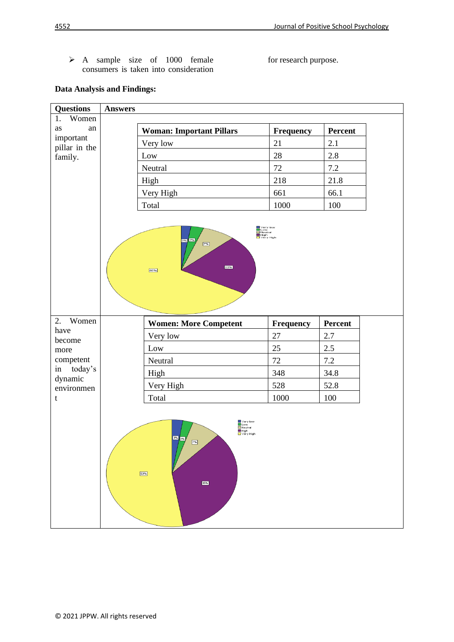for research purpose.

➢ A sample size of 1000 female consumers is taken into consideration

## **Data Analysis and Findings:**

| <b>Questions</b>      | <b>Answers</b> |                                                                                     |                  |         |
|-----------------------|----------------|-------------------------------------------------------------------------------------|------------------|---------|
| Women<br>1.           |                |                                                                                     |                  |         |
| an<br>as<br>important |                | <b>Woman: Important Pillars</b>                                                     | <b>Frequency</b> | Percent |
| pillar in the         |                | Very low                                                                            | 21               | 2.1     |
| family.               |                | Low                                                                                 | 28               | 2.8     |
|                       |                | Neutral                                                                             | 72               | 7.2     |
|                       |                | High                                                                                | 218              | 21.8    |
|                       |                | Very High                                                                           | 661              | 66.1    |
|                       |                | Total                                                                               | 1000             | 100     |
| 2. Women              |                | 22%<br>66%                                                                          |                  |         |
| have                  |                | <b>Women: More Competent</b>                                                        | Frequency        | Percent |
| become                |                | Very low                                                                            | 27               | 2.7     |
| more<br>competent     |                | Low                                                                                 | 25               | 2.5     |
| in today's            |                | Neutral                                                                             | 72               | $7.2\,$ |
| dynamic               |                | High                                                                                | 348<br>528       | 34.8    |
| environmen            |                | Very High                                                                           |                  | 52.8    |
| t                     |                | Total                                                                               | 1000             | 100     |
|                       | 53%            | Very low<br>Low<br>Neutral<br>High<br>Very High<br>3%<br>3%<br>$\boxed{7\%}$<br>35% |                  |         |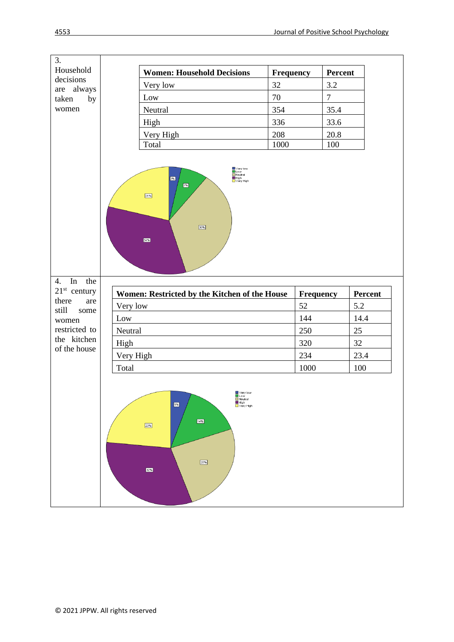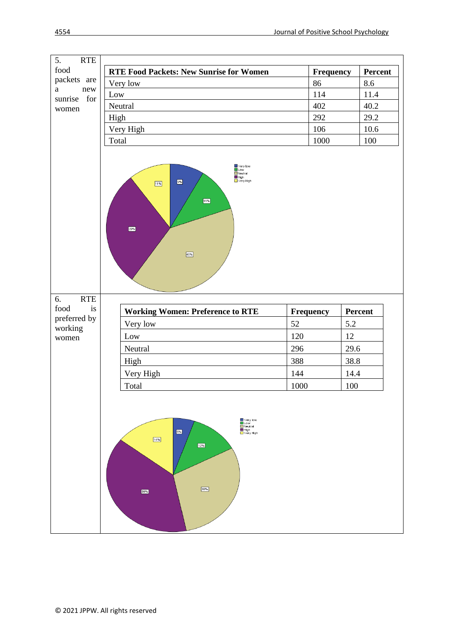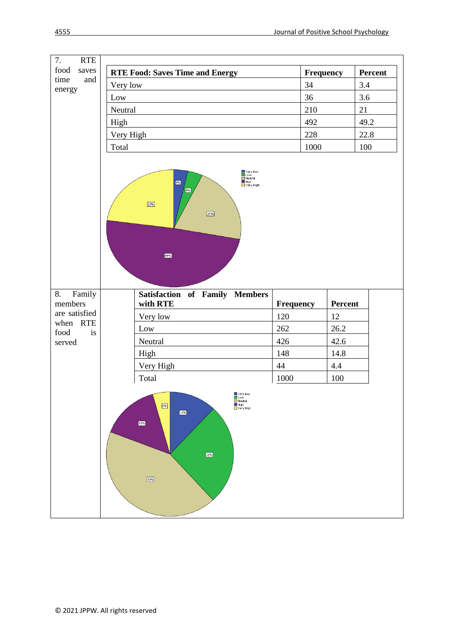| 7.<br><b>RTE</b>             |                                                                                                            |                  |               |         |
|------------------------------|------------------------------------------------------------------------------------------------------------|------------------|---------------|---------|
| food<br>saves<br>time<br>and | <b>RTE Food: Saves Time and Energy</b>                                                                     | Frequency        |               | Percent |
| energy                       | Very low                                                                                                   | 34               |               | 3.4     |
|                              | Low                                                                                                        | 36               |               | 3.6     |
|                              | Neutral                                                                                                    | 210              |               | 21      |
|                              | High                                                                                                       | 492              |               | 49.2    |
|                              | Very High                                                                                                  | 228              |               | 22.8    |
|                              | Total                                                                                                      | 1000             |               | 100     |
|                              | ■Very low<br>■Neutral<br>■High<br>■Very High<br>3%<br>$\overline{\mathbf{4\%}}$<br>23%<br>21%<br>49%       |                  |               |         |
| Family<br>8.<br>members      | <b>Satisfaction of Family Members</b>                                                                      |                  |               |         |
| are satisfied                | with RTE<br>Very low                                                                                       | Frequency<br>120 | Percent<br>12 |         |
| when RTE                     | Low                                                                                                        | 262              | 26.2          |         |
| food<br>is<br>served         | Neutral                                                                                                    | 426              | 42.6          |         |
|                              | High                                                                                                       | 148              | 14.8          |         |
|                              | Very High                                                                                                  | 44               | 4.4           |         |
|                              | Total                                                                                                      | 1000             | 100           |         |
|                              | Very low<br>Low<br>$\blacksquare$ Neutral<br>$4\%$<br>High<br>$\Box$ Very High<br>12%<br>15%<br>26%<br>43% |                  |               |         |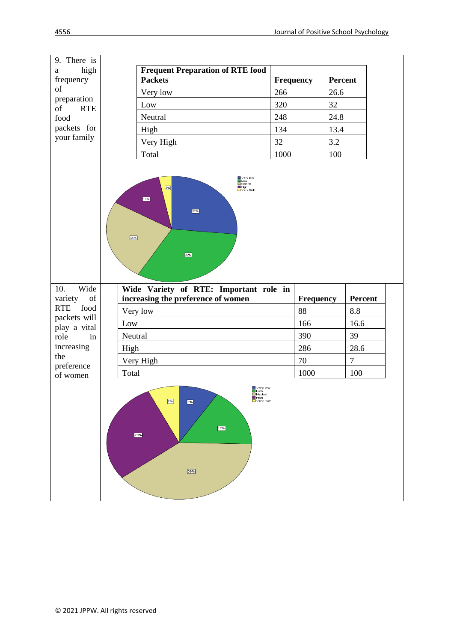| 9. There is                  |       |                                                                                                  |                  |         |                |  |
|------------------------------|-------|--------------------------------------------------------------------------------------------------|------------------|---------|----------------|--|
| high<br>$\rm{a}$             |       | <b>Frequent Preparation of RTE food</b>                                                          |                  |         |                |  |
| frequency                    |       | <b>Packets</b>                                                                                   | <b>Frequency</b> | Percent |                |  |
| of<br>preparation            |       | Very low                                                                                         | 266              | 26.6    |                |  |
| <b>RTE</b><br>of             |       | Low                                                                                              | 320              | 32      |                |  |
| food                         |       | Neutral                                                                                          | 248              | 24.8    |                |  |
| packets for                  |       | High                                                                                             | 134              | 13.4    |                |  |
| your family                  |       | Very High                                                                                        | 32               | 3.2     |                |  |
|                              |       | Total                                                                                            | 1000             | 100     |                |  |
|                              |       | Very low<br>Low<br>$\blacksquare$ Neutral<br>3%<br>High<br>Nery High<br>13%<br>27%<br>25%<br>32% |                  |         |                |  |
|                              |       |                                                                                                  |                  |         |                |  |
| Wide<br>10.<br>of<br>variety |       | Wide Variety of RTE: Important role in<br>increasing the preference of women                     | <b>Frequency</b> |         | Percent        |  |
| food<br><b>RTE</b>           |       | Very low                                                                                         | 88               |         | $8.8\,$        |  |
| packets will                 | Low   |                                                                                                  | 166              |         | 16.6           |  |
| play a vital<br>role<br>in   |       | Neutral                                                                                          | 390              |         | 39             |  |
| increasing                   | High  |                                                                                                  | 286              |         | 28.6           |  |
| the                          |       | Very High                                                                                        | $70\,$           |         | $\overline{7}$ |  |
| preference<br>of women       | Total |                                                                                                  | 1000             |         | 100            |  |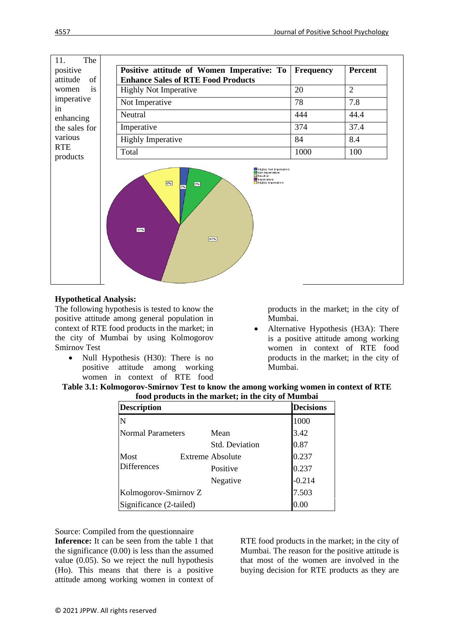

### **Hypothetical Analysis:**

The following hypothesis is tested to know the positive attitude among general population in context of RTE food products in the market; in the city of Mumbai by using Kolmogorov Smirnov Test

Null Hypothesis (H30): There is no positive attitude among working women in context of RTE food products in the market; in the city of Mumbai.

Alternative Hypothesis (H3A): There is a positive attitude among working women in context of RTE food products in the market; in the city of Mumbai.

| Table 3.1: Kolmogorov-Smirnov Test to know the among working women in context of RTE |  |
|--------------------------------------------------------------------------------------|--|
| food products in the market; in the city of Mumbai                                   |  |

| <b>Description</b>       |                         | <b>Decisions</b> |
|--------------------------|-------------------------|------------------|
| N                        |                         | 1000             |
| <b>Normal Parameters</b> | Mean                    | 3.42             |
|                          | Std. Deviation          | 0.87             |
| Most                     | <b>Extreme Absolute</b> | 0.237            |
| <b>Differences</b>       | Positive                | 0.237            |
|                          | Negative                | $-0.214$         |
| Kolmogorov-Smirnov Z     |                         | 7.503            |
| Significance (2-tailed)  |                         |                  |

Source: Compiled from the questionnaire

**Inference:** It can be seen from the table 1 that the significance (0.00) is less than the assumed value (0.05). So we reject the null hypothesis (Ho). This means that there is a positive attitude among working women in context of

RTE food products in the market; in the city of Mumbai. The reason for the positive attitude is that most of the women are involved in the buying decision for RTE products as they are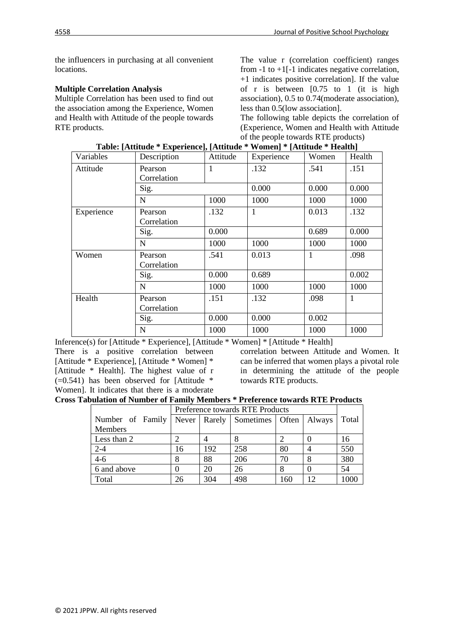the influencers in purchasing at all convenient locations.

### **Multiple Correlation Analysis**

Multiple Correlation has been used to find out the association among the Experience, Women and Health with Attitude of the people towards RTE products.

The value r (correlation coefficient) ranges from  $-1$  to  $+1$ [ $-1$  indicates negative correlation, +1 indicates positive correlation]. If the value of r is between [0.75 to 1 (it is high association), 0.5 to 0.74(moderate association), less than 0.5(low association].

The following table depicts the correlation of (Experience, Women and Health with Attitude of the people towards RTE products)

| Variables  | Description            | Attitude | Experience | Women | Health |
|------------|------------------------|----------|------------|-------|--------|
| Attitude   | Pearson<br>Correlation | 1        | .132       | .541  | .151   |
|            | Sig.                   |          | 0.000      | 0.000 | 0.000  |
|            | N                      | 1000     | 1000       | 1000  | 1000   |
| Experience | Pearson<br>Correlation | .132     | 1          | 0.013 | .132   |
|            | Sig.                   | 0.000    |            | 0.689 | 0.000  |
|            | N                      | 1000     | 1000       | 1000  | 1000   |
| Women      | Pearson<br>Correlation | .541     | 0.013      | 1     | .098   |
|            | Sig.                   | 0.000    | 0.689      |       | 0.002  |
|            | N                      | 1000     | 1000       | 1000  | 1000   |
| Health     | Pearson<br>Correlation | .151     | .132       | .098  | 1      |
|            | Sig.                   | 0.000    | 0.000      | 0.002 |        |
|            | N                      | 1000     | 1000       | 1000  | 1000   |

| Table: [Attitude * Experience], [Attitude * Women] * [Attitude * Health] |  |  |
|--------------------------------------------------------------------------|--|--|

Inference(s) for [Attitude \* Experience], [Attitude \* Women] \* [Attitude \* Health]

There is a positive correlation between [Attitude \* Experience], [Attitude \* Women] \* [Attitude \* Health]. The highest value of r  $\overline{(-0.541)}$  has been observed for [Attitude \* Women]. It indicates that there is a moderate correlation between Attitude and Women. It can be inferred that women plays a pivotal role in determining the attitude of the people towards RTE products.

|  |  | <b>Cross Tabulation of Number of Family Members * Preference towards RTE Products</b> |  |
|--|--|---------------------------------------------------------------------------------------|--|
|  |  |                                                                                       |  |

|                  |    | Preference towards RTE Products |                                    |     |               |       |  |
|------------------|----|---------------------------------|------------------------------------|-----|---------------|-------|--|
| Number of Family |    |                                 | Never   Rarely   Sometimes   Often |     | <b>Always</b> | Total |  |
| Members          |    |                                 |                                    |     |               |       |  |
| Less than 2      |    |                                 |                                    |     |               | 16    |  |
| $2 - 4$          | 16 | 192                             | 258                                | 80  |               | 550   |  |
| $4 - 6$          |    | 88                              | 206                                | 70  |               | 380   |  |
| 6 and above      |    | 20                              | 26                                 |     |               | 54    |  |
| Total            | 26 | 304                             | 498                                | 160 | 12            | 1000  |  |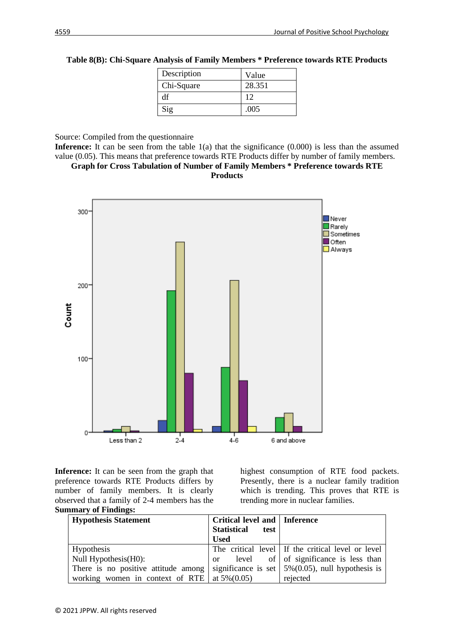| Description | Value  |
|-------------|--------|
| Chi-Square  | 28.351 |
| df          | 12     |
| Sig         | .005   |

**Table 8(B): Chi-Square Analysis of Family Members \* Preference towards RTE Products**

Source: Compiled from the questionnaire

**Inference:** It can be seen from the table 1(a) that the significance (0.000) is less than the assumed value (0.05). This means that preference towards RTE Products differ by number of family members.





**Inference:** It can be seen from the graph that preference towards RTE Products differs by number of family members. It is clearly observed that a family of 2-4 members has the **Summary of Findings:**

highest consumption of RTE food packets. Presently, there is a nuclear family tradition which is trending. This proves that RTE is trending more in nuclear families.

| <b>Hypothesis Statement</b>         | Critical level and   Inference<br><b>Statistical</b><br>test<br><b>Used</b> |                                                          |
|-------------------------------------|-----------------------------------------------------------------------------|----------------------------------------------------------|
| Hypothesis                          |                                                                             | The critical level   If the critical level or level      |
| Null Hypothesis(H0):                |                                                                             | or level of of significance is less than                 |
| There is no positive attitude among |                                                                             | significance is set $\vert$ 5%(0.05), null hypothesis is |
| working women in context of RTE     | at $5\%(0.05)$                                                              | rejected                                                 |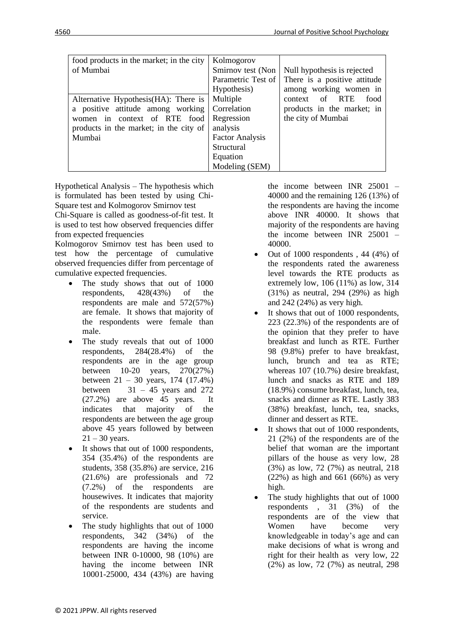| food products in the market; in the city | Kolmogorov             |                              |
|------------------------------------------|------------------------|------------------------------|
| of Mumbai                                | Smirnov test (Non      | Null hypothesis is rejected  |
|                                          | Parametric Test of     | There is a positive attitude |
|                                          | Hypothesis)            | among working women in       |
| Alternative Hypothesis(HA): There is     | Multiple               | context of RTE<br>food       |
| a positive attitude among working        | Correlation            | products in the market; in   |
| women in context of RTE food             | Regression             | the city of Mumbai           |
| products in the market; in the city of   | analysis               |                              |
| Mumbai                                   | <b>Factor Analysis</b> |                              |
|                                          | Structural             |                              |
|                                          | Equation               |                              |
|                                          | Modeling (SEM)         |                              |

Hypothetical Analysis – The hypothesis which is formulated has been tested by using Chi-Square test and Kolmogorov Smirnov test Chi-Square is called as goodness-of-fit test. It is used to test how observed frequencies differ from expected frequencies

Kolmogorov Smirnov test has been used to test how the percentage of cumulative observed frequencies differ from percentage of cumulative expected frequencies.

- The study shows that out of 1000 respondents, 428(43%) of the respondents are male and 572(57%) are female. It shows that majority of the respondents were female than male.
- The study reveals that out of 1000 respondents, 284(28.4%) of the respondents are in the age group between 10-20 years, 270(27%) between 21 – 30 years, 174 (17.4%) between  $31 - 45$  years and 272 (27.2%) are above 45 years. It indicates that majority of the respondents are between the age group above 45 years followed by between  $21 - 30$  years.
- It shows that out of 1000 respondents, 354 (35.4%) of the respondents are students, 358 (35.8%) are service, 216 (21.6%) are professionals and 72 (7.2%) of the respondents are housewives. It indicates that majority of the respondents are students and service.
- The study highlights that out of 1000 respondents, 342 (34%) of the respondents are having the income between INR 0-10000, 98 (10%) are having the income between INR 10001-25000, 434 (43%) are having

the income between INR 25001 – 40000 and the remaining 126 (13%) of the respondents are having the income above INR 40000. It shows that majority of the respondents are having the income between INR 25001 – 40000.

- Out of  $1000$  respondents,  $44$   $(4%)$  of the respondents rated the awareness level towards the RTE products as extremely low, 106 (11%) as low, 314 (31%) as neutral, 294 (29%) as high and 242 (24%) as very high.
- It shows that out of 1000 respondents, 223 (22.3%) of the respondents are of the opinion that they prefer to have breakfast and lunch as RTE. Further 98 (9.8%) prefer to have breakfast, lunch, brunch and tea as RTE; whereas 107 (10.7%) desire breakfast, lunch and snacks as RTE and 189 (18.9%) consume breakfast, lunch, tea, snacks and dinner as RTE. Lastly 383 (38%) breakfast, lunch, tea, snacks, dinner and dessert as RTE.
- It shows that out of 1000 respondents, 21 (2%) of the respondents are of the belief that woman are the important pillars of the house as very low, 28 (3%) as low, 72 (7%) as neutral, 218 (22%) as high and 661 (66%) as very high.
- The study highlights that out of 1000 respondents , 31 (3%) of the respondents are of the view that Women have become very knowledgeable in today's age and can make decisions of what is wrong and right for their health as very low, 22 (2%) as low, 72 (7%) as neutral, 298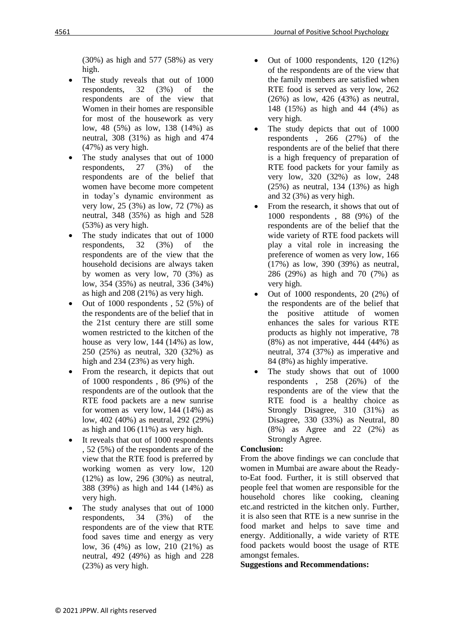(30%) as high and 577 (58%) as very high.

- The study reveals that out of 1000 respondents, 32 (3%) of the respondents are of the view that Women in their homes are responsible for most of the housework as very low, 48 (5%) as low, 138 (14%) as neutral, 308 (31%) as high and 474 (47%) as very high.
- The study analyses that out of 1000 respondents, 27 (3%) of the respondents are of the belief that women have become more competent in today's dynamic environment as very low, 25 (3%) as low, 72 (7%) as neutral, 348 (35%) as high and 528 (53%) as very high.
- The study indicates that out of 1000 respondents, 32 (3%) of the respondents are of the view that the household decisions are always taken by women as very low, 70 (3%) as low, 354 (35%) as neutral, 336 (34%) as high and 208 (21%) as very high.
- Out of 1000 respondents , 52 (5%) of the respondents are of the belief that in the 21st century there are still some women restricted to the kitchen of the house as very low, 144 (14%) as low, 250 (25%) as neutral, 320 (32%) as high and 234 (23%) as very high.
- From the research, it depicts that out of 1000 respondents , 86 (9%) of the respondents are of the outlook that the RTE food packets are a new sunrise for women as very low, 144 (14%) as low, 402 (40%) as neutral, 292 (29%) as high and 106 (11%) as very high.
- It reveals that out of 1000 respondents , 52 (5%) of the respondents are of the view that the RTE food is preferred by working women as very low, 120 (12%) as low, 296 (30%) as neutral, 388 (39%) as high and 144 (14%) as very high.
- The study analyses that out of 1000 respondents, 34 (3%) of the respondents are of the view that RTE food saves time and energy as very low, 36 (4%) as low, 210 (21%) as neutral, 492 (49%) as high and 228 (23%) as very high.
- Out of 1000 respondents, 120 (12%) of the respondents are of the view that the family members are satisfied when RTE food is served as very low, 262 (26%) as low, 426 (43%) as neutral, 148 (15%) as high and 44 (4%) as very high.
- The study depicts that out of 1000 respondents , 266 (27%) of the respondents are of the belief that there is a high frequency of preparation of RTE food packets for your family as very low, 320 (32%) as low, 248 (25%) as neutral, 134 (13%) as high and 32 (3%) as very high.
- From the research, it shows that out of 1000 respondents , 88 (9%) of the respondents are of the belief that the wide variety of RTE food packets will play a vital role in increasing the preference of women as very low, 166 (17%) as low, 390 (39%) as neutral, 286 (29%) as high and 70 (7%) as very high.
- Out of 1000 respondents, 20 (2%) of the respondents are of the belief that the positive attitude of women enhances the sales for various RTE products as highly not imperative, 78 (8%) as not imperative, 444 (44%) as neutral, 374 (37%) as imperative and 84 (8%) as highly imperative.
- The study shows that out of 1000 respondents , 258 (26%) of the respondents are of the view that the RTE food is a healthy choice as Strongly Disagree, 310 (31%) as Disagree, 330 (33%) as Neutral, 80 (8%) as Agree and 22 (2%) as Strongly Agree.

# **Conclusion:**

From the above findings we can conclude that women in Mumbai are aware about the Readyto-Eat food. Further, it is still observed that people feel that women are responsible for the household chores like cooking, cleaning etc.and restricted in the kitchen only. Further, it is also seen that RTE is a new sunrise in the food market and helps to save time and energy. Additionally, a wide variety of RTE food packets would boost the usage of RTE amongst females.

**Suggestions and Recommendations:**